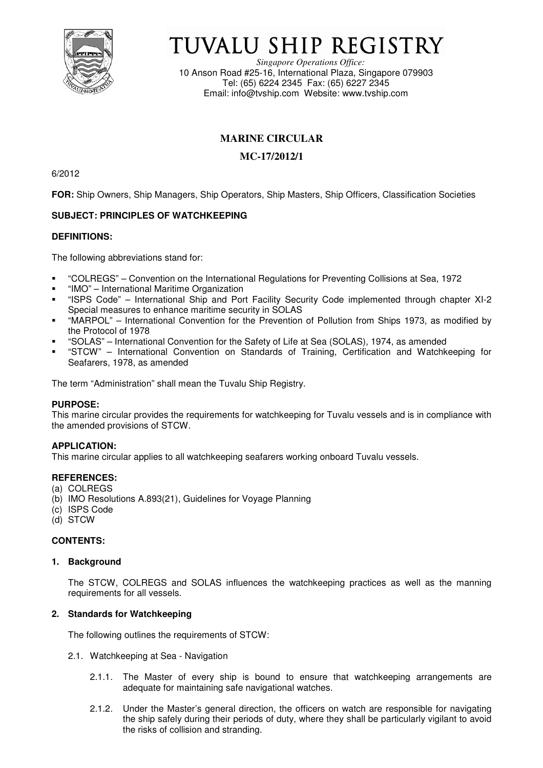

# TUVALU SHIP REGISTRY

*Singapore Operations Office:* 10 Anson Road #25-16, International Plaza, Singapore 079903 Tel: (65) 6224 2345 Fax: (65) 6227 2345 Email: info@tvship.com Website: www.tvship.com

## **MARINE CIRCULAR**

## **MC-17/2012/1**

6/2012

**FOR:** Ship Owners, Ship Managers, Ship Operators, Ship Masters, Ship Officers, Classification Societies

### **SUBJECT: PRINCIPLES OF WATCHKEEPING**

#### **DEFINITIONS:**

The following abbreviations stand for:

- "COLREGS" Convention on the International Regulations for Preventing Collisions at Sea, 1972
- "IMO" International Maritime Organization
- "ISPS Code" International Ship and Port Facility Security Code implemented through chapter XI-2 Special measures to enhance maritime security in SOLAS
- "MARPOL" International Convention for the Prevention of Pollution from Ships 1973, as modified by the Protocol of 1978
- "SOLAS" International Convention for the Safety of Life at Sea (SOLAS), 1974, as amended
- "STCW" International Convention on Standards of Training, Certification and Watchkeeping for Seafarers, 1978, as amended

The term "Administration" shall mean the Tuvalu Ship Registry.

#### **PURPOSE:**

This marine circular provides the requirements for watchkeeping for Tuvalu vessels and is in compliance with the amended provisions of STCW.

#### **APPLICATION:**

This marine circular applies to all watchkeeping seafarers working onboard Tuvalu vessels.

#### **REFERENCES:**

- (a) COLREGS
- (b) IMO Resolutions A.893(21), Guidelines for Voyage Planning
- (c) ISPS Code
- (d) STCW

#### **CONTENTS:**

#### **1. Background**

The STCW, COLREGS and SOLAS influences the watchkeeping practices as well as the manning requirements for all vessels.

#### **2. Standards for Watchkeeping**

The following outlines the requirements of STCW:

- 2.1. Watchkeeping at Sea Navigation
	- 2.1.1. The Master of every ship is bound to ensure that watchkeeping arrangements are adequate for maintaining safe navigational watches.
	- 2.1.2. Under the Master's general direction, the officers on watch are responsible for navigating the ship safely during their periods of duty, where they shall be particularly vigilant to avoid the risks of collision and stranding.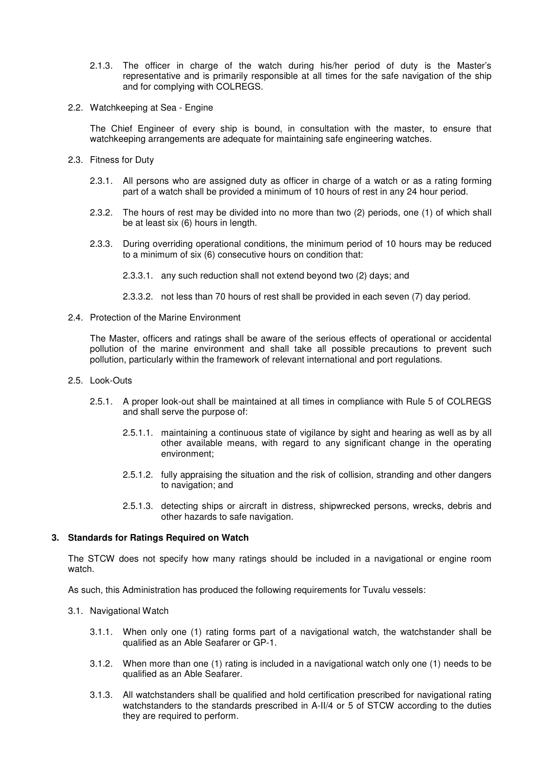- 2.1.3. The officer in charge of the watch during his/her period of duty is the Master's representative and is primarily responsible at all times for the safe navigation of the ship and for complying with COLREGS.
- 2.2. Watchkeeping at Sea Engine

The Chief Engineer of every ship is bound, in consultation with the master, to ensure that watchkeeping arrangements are adequate for maintaining safe engineering watches.

- 2.3. Fitness for Duty
	- 2.3.1. All persons who are assigned duty as officer in charge of a watch or as a rating forming part of a watch shall be provided a minimum of 10 hours of rest in any 24 hour period.
	- 2.3.2. The hours of rest may be divided into no more than two (2) periods, one (1) of which shall be at least six (6) hours in length.
	- 2.3.3. During overriding operational conditions, the minimum period of 10 hours may be reduced to a minimum of six (6) consecutive hours on condition that:
		- 2.3.3.1. any such reduction shall not extend beyond two (2) days; and
		- 2.3.3.2. not less than 70 hours of rest shall be provided in each seven (7) day period.
- 2.4. Protection of the Marine Environment

The Master, officers and ratings shall be aware of the serious effects of operational or accidental pollution of the marine environment and shall take all possible precautions to prevent such pollution, particularly within the framework of relevant international and port regulations.

- 2.5. Look-Outs
	- 2.5.1. A proper look-out shall be maintained at all times in compliance with Rule 5 of COLREGS and shall serve the purpose of:
		- 2.5.1.1. maintaining a continuous state of vigilance by sight and hearing as well as by all other available means, with regard to any significant change in the operating environment;
		- 2.5.1.2. fully appraising the situation and the risk of collision, stranding and other dangers to navigation; and
		- 2.5.1.3. detecting ships or aircraft in distress, shipwrecked persons, wrecks, debris and other hazards to safe navigation.

#### **3. Standards for Ratings Required on Watch**

The STCW does not specify how many ratings should be included in a navigational or engine room watch.

As such, this Administration has produced the following requirements for Tuvalu vessels:

- 3.1. Navigational Watch
	- 3.1.1. When only one (1) rating forms part of a navigational watch, the watchstander shall be qualified as an Able Seafarer or GP-1.
	- 3.1.2. When more than one (1) rating is included in a navigational watch only one (1) needs to be qualified as an Able Seafarer.
	- 3.1.3. All watchstanders shall be qualified and hold certification prescribed for navigational rating watchstanders to the standards prescribed in A-II/4 or 5 of STCW according to the duties they are required to perform.